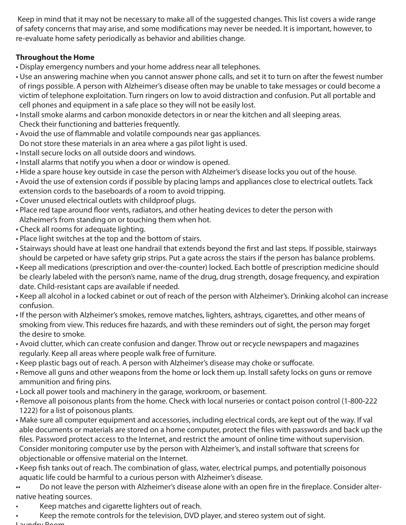Keep in mind that it may not be necessary to make all of the suggested changes. This list covers a wide range of safety concerns that may arise, and some modifications may never be needed. It is important, however, to re-evaluate home safety periodically as behavior and abilities change.

## **Throughout the Home**

- Display emergency numbers and your home address near all telephones.
- Use an answering machine when you cannot answer phone calls, and set it to turn on after the fewest number of rings possible. A person with Alzheimer's disease often may be unable to take messages or could become a victim of telephone exploitation. Turn ringers on low to avoid distraction and confusion. Put all portable and cell phones and equipment in a safe place so they will not be easily lost.
- Install smoke alarms and carbon monoxide detectors in or near the kitchen and all sleeping areas. Check their functioning and batteries frequently.
- Avoid the use of flammable and volatile compounds near gas appliances.
- Do not store these materials in an area where a gas pilot light is used.
- Install secure locks on all outside doors and windows.
- Install alarms that notify you when a door or window is opened.
- Hide a spare house key outside in case the person with Alzheimer's disease locks you out of the house.
- Avoid the use of extension cords if possible by placing lamps and appliances close to electrical outlets. Tack extension cords to the baseboards of a room to avoid tripping.
- Cover unused electrical outlets with childproof plugs.
- Place red tape around floor vents, radiators, and other heating devices to deter the person with Alzheimer's from standing on or touching them when hot.
- Check all rooms for adequate lighting.
- Place light switches at the top and the bottom of stairs.
- Stairways should have at least one handrail that extends beyond the first and last steps. If possible, stairways should be carpeted or have safety grip strips. Put a gate across the stairs if the person has balance problems.
- Keep all medications (prescription and over-the-counter) locked. Each bottle of prescription medicine should be clearly labeled with the person's name, name of the drug, drug strength, dosage frequency, and expiration date. Child-resistant caps are available if needed.
- Keep all alcohol in a locked cabinet or out of reach of the person with Alzheimer's. Drinking alcohol can increase confusion.
- If the person with Alzheimer's smokes, remove matches, lighters, ashtrays, cigarettes, and other means of smoking from view. This reduces fire hazards, and with these reminders out of sight, the person may forget the desire to smoke.
- Avoid clutter, which can create confusion and danger. Throw out or recycle newspapers and magazines regularly. Keep all areas where people walk free of furniture.
- Keep plastic bags out of reach. A person with Alzheimer's disease may choke or suffocate.
- Remove all guns and other weapons from the home or lock them up. Install safety locks on guns or remove ammunition and firing pins.
- Lock all power tools and machinery in the garage, workroom, or basement.
- Remove all poisonous plants from the home. Check with local nurseries or contact poison control (1-800-222 1222) for a list of poisonous plants.
- Make sure all computer equipment and accessories, including electrical cords, are kept out of the way. If val able documents or materials are stored on a home computer, protect the files with passwords and back up the files. Password protect access to the Internet, and restrict the amount of online time without supervision. Consider monitoring computer use by the person with Alzheimer's, and install software that screens for objectionable or offensive material on the Internet.
- Keep fish tanks out of reach. The combination of glass, water, electrical pumps, and potentially poisonous aquatic life could be harmful to a curious person with Alzheimer's disease.
- •• Do not leave the person with Alzheimer's disease alone with an open fire in the fireplace. Consider alternative heating sources.
- Keep matches and cigarette lighters out of reach.
- Keep the remote controls for the television, DVD player, and stereo system out of sight.
- Laundry Room